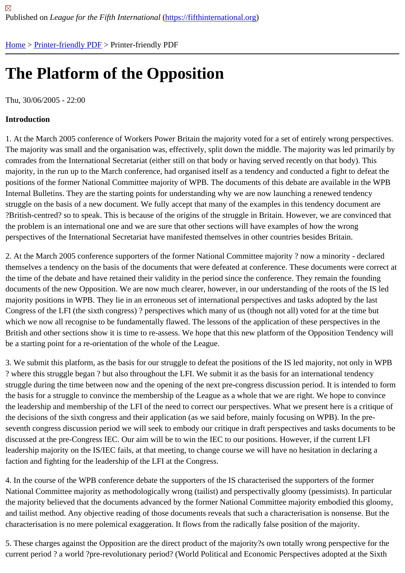# [The](https://fifthinternational.org/) [Platform](https://fifthinternational.org/printpdf) of the Opposition

Thu, 30/06/2005 - 22:00

Introduction

1. At the March 2005 conference of Workers Power Britain the majority voted for a set of entirely wrong perspectiv The majority was small and the organisation was, effectively, split down the middle. The majority was led primarily by comrades from the International Secretariat (either still on that body or having served recently on that body). This majority, in the run up to the March conference, had organised itself as a tendency and conducted a fight to defeat the positions of the former National Committee majority of WPB. The documents of this debate are available in the WI Internal Bulletins. They are the starting points for understanding why we are now launching a renewed tendency struggle on the basis of a new document. We fully accept that many of the examples in this tendency document ar ?British-centred? so to speak. This is because of the origins of the struggle in Britain. However, we are convinced the problem is an international one and we are sure that other sections will have examples of how the wrong perspectives of the International Secretariat have manifested themselves in other countries besides Britain.

2. At the March 2005 conference supporters of the former National Committee majority ? now a minority - declared themselves a tendency on the basis of the documents that were defeated at conference. These documents were or the time of the debate and have retained their validity in the period since the conference. They remain the founding documents of the new Opposition. We are now much clearer, however, in our understanding of the roots of the IS majority positions in WPB. They lie in an erroneous set of international perspectives and tasks adopted by the last Congress of the LFI (the sixth congress) ? perspectives which many of us (though not all) voted for at the time but which we now all recognise to be fundamentally flawed. The lessons of the application of these perspectives in the British and other sections show it is time to re-assess. We hope that this new platform of the Opposition Tendency be a starting point for a re-orientation of the whole of the League.

3. We submit this platform, as the basis for our struggle to defeat the positions of the IS led majority, not only in W ? where this struggle began ? but also throughout the LFI. We submit it as the basis for an international tendency struggle during the time between now and the opening of the next pre-congress discussion period. It is intended to the basis for a struggle to convince the membership of the League as a whole that we are right. We hope to convir the leadership and membership of the LFI of the need to correct our perspectives. What we present here is a critiq the decisions of the sixth congress and their application (as we said before, mainly focusing on WPB). In the preseventh congress discussion period we will seek to embody our critique in draft perspectives and tasks documents discussed at the pre-Congress IEC. Our aim will be to win the IEC to our positions. However, if the current LFI leadership majority on the IS/IEC fails, at that meeting, to change course we will have no hesitation in declaring a faction and fighting for the leadership of the LFI at the Congress.

4. In the course of the WPB conference debate the supporters of the IS characterised the supporters of the former National Committee majority as methodologically wrong (tailist) and perspectivally gloomy (pessimists). In particula the majority believed that the documents advanced by the former National Committee majority embodied this gloo and tailist method. Any objective reading of those documents reveals that such a characterisation is nonsense. Bu characterisation is no mere polemical exaggeration. It flows from the radically false position of the majority.

5. These charges against the Opposition are the direct product of the majority?s own totally wrong perspective for the current period ? a world ?pre-revolutionary period? (World Political and Economic Perspectives adopted at the Six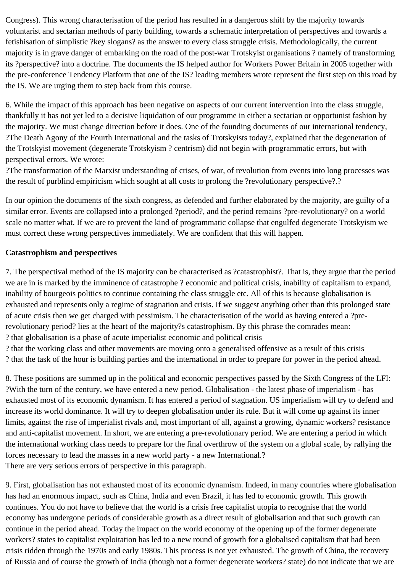Congress). This wrong characterisation of the period has resulted in a dangerous shift by the majority towards voluntarist and sectarian methods of party building, towards a schematic interpretation of perspectives and towards a fetishisation of simplistic ?key slogans? as the answer to every class struggle crisis. Methodologically, the current majority is in grave danger of embarking on the road of the post-war Trotskyist organisations ? namely of transforming its ?perspective? into a doctrine. The documents the IS helped author for Workers Power Britain in 2005 together with the pre-conference Tendency Platform that one of the IS? leading members wrote represent the first step on this road by the IS. We are urging them to step back from this course.

6. While the impact of this approach has been negative on aspects of our current intervention into the class struggle, thankfully it has not yet led to a decisive liquidation of our programme in either a sectarian or opportunist fashion by the majority. We must change direction before it does. One of the founding documents of our international tendency, ?The Death Agony of the Fourth International and the tasks of Trotskyists today?, explained that the degeneration of the Trotskyist movement (degenerate Trotskyism ? centrism) did not begin with programmatic errors, but with perspectival errors. We wrote:

?The transformation of the Marxist understanding of crises, of war, of revolution from events into long processes was the result of purblind empiricism which sought at all costs to prolong the ?revolutionary perspective?.?

In our opinion the documents of the sixth congress, as defended and further elaborated by the majority, are guilty of a similar error. Events are collapsed into a prolonged ?period?, and the period remains ?pre-revolutionary? on a world scale no matter what. If we are to prevent the kind of programmatic collapse that engulfed degenerate Trotskyism we must correct these wrong perspectives immediately. We are confident that this will happen.

# **Catastrophism and perspectives**

7. The perspectival method of the IS majority can be characterised as ?catastrophist?. That is, they argue that the period we are in is marked by the imminence of catastrophe ? economic and political crisis, inability of capitalism to expand, inability of bourgeois politics to continue containing the class struggle etc. All of this is because globalisation is exhausted and represents only a regime of stagnation and crisis. If we suggest anything other than this prolonged state of acute crisis then we get charged with pessimism. The characterisation of the world as having entered a ?prerevolutionary period? lies at the heart of the majority?s catastrophism. By this phrase the comrades mean: ? that globalisation is a phase of acute imperialist economic and political crisis

? that the working class and other movements are moving onto a generalised offensive as a result of this crisis ? that the task of the hour is building parties and the international in order to prepare for power in the period ahead.

8. These positions are summed up in the political and economic perspectives passed by the Sixth Congress of the LFI: ?With the turn of the century, we have entered a new period. Globalisation - the latest phase of imperialism - has exhausted most of its economic dynamism. It has entered a period of stagnation. US imperialism will try to defend and increase its world dominance. It will try to deepen globalisation under its rule. But it will come up against its inner limits, against the rise of imperialist rivals and, most important of all, against a growing, dynamic workers? resistance and anti-capitalist movement. In short, we are entering a pre-revolutionary period. We are entering a period in which the international working class needs to prepare for the final overthrow of the system on a global scale, by rallying the forces necessary to lead the masses in a new world party - a new International.? There are very serious errors of perspective in this paragraph.

9. First, globalisation has not exhausted most of its economic dynamism. Indeed, in many countries where globalisation has had an enormous impact, such as China, India and even Brazil, it has led to economic growth. This growth continues. You do not have to believe that the world is a crisis free capitalist utopia to recognise that the world economy has undergone periods of considerable growth as a direct result of globalisation and that such growth can continue in the period ahead. Today the impact on the world economy of the opening up of the former degenerate workers? states to capitalist exploitation has led to a new round of growth for a globalised capitalism that had been crisis ridden through the 1970s and early 1980s. This process is not yet exhausted. The growth of China, the recovery of Russia and of course the growth of India (though not a former degenerate workers? state) do not indicate that we are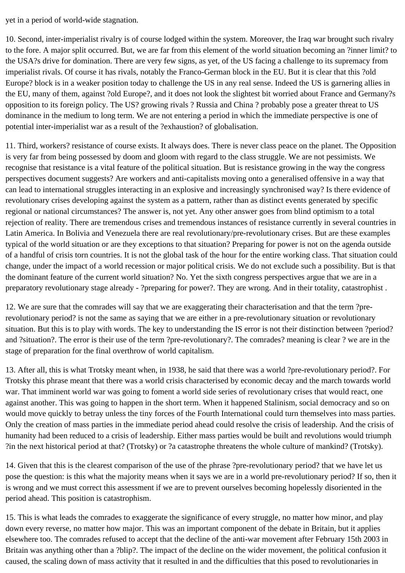yet in a period of world-wide stagnation.

10. Second, inter-imperialist rivalry is of course lodged within the system. Moreover, the Iraq war brought such rivalry to the fore. A major split occurred. But, we are far from this element of the world situation becoming an ?inner limit? to the USA?s drive for domination. There are very few signs, as yet, of the US facing a challenge to its supremacy from imperialist rivals. Of course it has rivals, notably the Franco-German block in the EU. But it is clear that this ?old Europe? block is in a weaker position today to challenge the US in any real sense. Indeed the US is garnering allies in the EU, many of them, against ?old Europe?, and it does not look the slightest bit worried about France and Germany?s opposition to its foreign policy. The US? growing rivals ? Russia and China ? probably pose a greater threat to US dominance in the medium to long term. We are not entering a period in which the immediate perspective is one of potential inter-imperialist war as a result of the ?exhaustion? of globalisation.

11. Third, workers? resistance of course exists. It always does. There is never class peace on the planet. The Opposition is very far from being possessed by doom and gloom with regard to the class struggle. We are not pessimists. We recognise that resistance is a vital feature of the political situation. But is resistance growing in the way the congress perspectives document suggests? Are workers and anti-capitalists moving onto a generalised offensive in a way that can lead to international struggles interacting in an explosive and increasingly synchronised way? Is there evidence of revolutionary crises developing against the system as a pattern, rather than as distinct events generated by specific regional or national circumstances? The answer is, not yet. Any other answer goes from blind optimism to a total rejection of reality. There are tremendous crises and tremendous instances of resistance currently in several countries in Latin America. In Bolivia and Venezuela there are real revolutionary/pre-revolutionary crises. But are these examples typical of the world situation or are they exceptions to that situation? Preparing for power is not on the agenda outside of a handful of crisis torn countries. It is not the global task of the hour for the entire working class. That situation could change, under the impact of a world recession or major political crisis. We do not exclude such a possibility. But is that the dominant feature of the current world situation? No. Yet the sixth congress perspectives argue that we are in a preparatory revolutionary stage already - ?preparing for power?. They are wrong. And in their totality, catastrophist .

12. We are sure that the comrades will say that we are exaggerating their characterisation and that the term ?prerevolutionary period? is not the same as saying that we are either in a pre-revolutionary situation or revolutionary situation. But this is to play with words. The key to understanding the IS error is not their distinction between ?period? and ?situation?. The error is their use of the term ?pre-revolutionary?. The comrades? meaning is clear ? we are in the stage of preparation for the final overthrow of world capitalism.

13. After all, this is what Trotsky meant when, in 1938, he said that there was a world ?pre-revolutionary period?. For Trotsky this phrase meant that there was a world crisis characterised by economic decay and the march towards world war. That imminent world war was going to foment a world side series of revolutionary crises that would react, one against another. This was going to happen in the short term. When it happened Stalinism, social democracy and so on would move quickly to betray unless the tiny forces of the Fourth International could turn themselves into mass parties. Only the creation of mass parties in the immediate period ahead could resolve the crisis of leadership. And the crisis of humanity had been reduced to a crisis of leadership. Either mass parties would be built and revolutions would triumph ?in the next historical period at that? (Trotsky) or ?a catastrophe threatens the whole culture of mankind? (Trotsky).

14. Given that this is the clearest comparison of the use of the phrase ?pre-revolutionary period? that we have let us pose the question: is this what the majority means when it says we are in a world pre-revolutionary period? If so, then it is wrong and we must correct this assessment if we are to prevent ourselves becoming hopelessly disoriented in the period ahead. This position is catastrophism.

15. This is what leads the comrades to exaggerate the significance of every struggle, no matter how minor, and play down every reverse, no matter how major. This was an important component of the debate in Britain, but it applies elsewhere too. The comrades refused to accept that the decline of the anti-war movement after February 15th 2003 in Britain was anything other than a ?blip?. The impact of the decline on the wider movement, the political confusion it caused, the scaling down of mass activity that it resulted in and the difficulties that this posed to revolutionaries in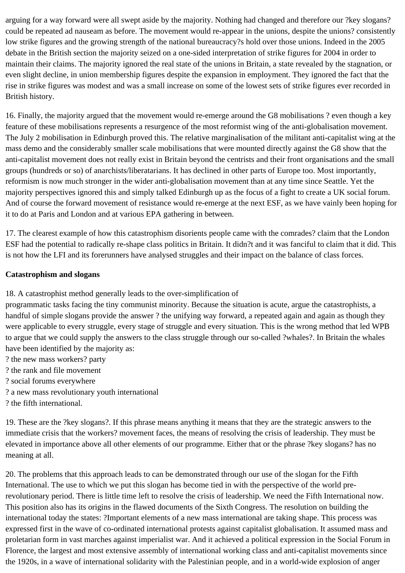arguing for a way forward were all swept aside by the majority. Nothing had changed and therefore our ?key slogans? could be repeated ad nauseam as before. The movement would re-appear in the unions, despite the unions? consistently low strike figures and the growing strength of the national bureaucracy?s hold over those unions. Indeed in the 2005 debate in the British section the majority seized on a one-sided interpretation of strike figures for 2004 in order to maintain their claims. The majority ignored the real state of the unions in Britain, a state revealed by the stagnation, or even slight decline, in union membership figures despite the expansion in employment. They ignored the fact that the rise in strike figures was modest and was a small increase on some of the lowest sets of strike figures ever recorded in British history.

16. Finally, the majority argued that the movement would re-emerge around the G8 mobilisations ? even though a key feature of these mobilisations represents a resurgence of the most reformist wing of the anti-globalisation movement. The July 2 mobilisation in Edinburgh proved this. The relative marginalisation of the militant anti-capitalist wing at the mass demo and the considerably smaller scale mobilisations that were mounted directly against the G8 show that the anti-capitalist movement does not really exist in Britain beyond the centrists and their front organisations and the small groups (hundreds or so) of anarchists/liberatarians. It has declined in other parts of Europe too. Most importantly, reformism is now much stronger in the wider anti-globalisation movement than at any time since Seattle. Yet the majority perspectives ignored this and simply talked Edinburgh up as the focus of a fight to create a UK social forum. And of course the forward movement of resistance would re-emerge at the next ESF, as we have vainly been hoping for it to do at Paris and London and at various EPA gathering in between.

17. The clearest example of how this catastrophism disorients people came with the comrades? claim that the London ESF had the potential to radically re-shape class politics in Britain. It didn?t and it was fanciful to claim that it did. This is not how the LFI and its forerunners have analysed struggles and their impact on the balance of class forces.

## **Catastrophism and slogans**

18. A catastrophist method generally leads to the over-simplification of

programmatic tasks facing the tiny communist minority. Because the situation is acute, argue the catastrophists, a handful of simple slogans provide the answer ? the unifying way forward, a repeated again and again as though they were applicable to every struggle, every stage of struggle and every situation. This is the wrong method that led WPB to argue that we could supply the answers to the class struggle through our so-called ?whales?. In Britain the whales have been identified by the majority as:

- ? the new mass workers? party
- ? the rank and file movement
- ? social forums everywhere
- ? a new mass revolutionary youth international
- ? the fifth international.

19. These are the ?key slogans?. If this phrase means anything it means that they are the strategic answers to the immediate crisis that the workers? movement faces, the means of resolving the crisis of leadership. They must be elevated in importance above all other elements of our programme. Either that or the phrase ?key slogans? has no meaning at all.

20. The problems that this approach leads to can be demonstrated through our use of the slogan for the Fifth International. The use to which we put this slogan has become tied in with the perspective of the world prerevolutionary period. There is little time left to resolve the crisis of leadership. We need the Fifth International now. This position also has its origins in the flawed documents of the Sixth Congress. The resolution on building the international today the states: ?Important elements of a new mass international are taking shape. This process was expressed first in the wave of co-ordinated international protests against capitalist globalisation. It assumed mass and proletarian form in vast marches against imperialist war. And it achieved a political expression in the Social Forum in Florence, the largest and most extensive assembly of international working class and anti-capitalist movements since the 1920s, in a wave of international solidarity with the Palestinian people, and in a world-wide explosion of anger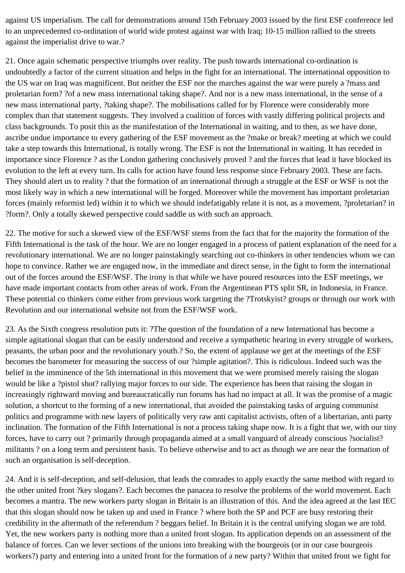against US imperialism. The call for demonstrations around 15th February 2003 issued by the first ESF conference led to an unprecedented co-ordination of world wide protest against war with Iraq; 10-15 million rallied to the streets against the imperialist drive to war.?

21. Once again schematic perspective triumphs over reality. The push towards international co-ordination is undoubtedly a factor of the current situation and helps in the fight for an international. The international opposition to the US war on Iraq was magnificent. But neither the ESF nor the marches against the war were purely a ?mass and proletarian form? ?of a new mass international taking shape?. And nor is a new mass international, in the sense of a new mass international party, ?taking shape?. The mobilisations called for by Florence were considerably more complex than that statement suggests. They involved a coalition of forces with vastly differing political projects and class backgrounds. To posit this as the manifestation of the International in waiting, and to then, as we have done, ascribe undue importance to every gathering of the ESF movement as the ?make or break? meeting at which we could take a step towards this International, is totally wrong. The ESF is not the International in waiting. It has receded in importance since Florence ? as the London gathering conclusively proved ? and the forces that lead it have blocked its evolution to the left at every turn. Its calls for action have found less response since February 2003. These are facts. They should alert us to reality ? that the formation of an international through a struggle at the ESF or WSF is not the most likely way in which a new international will be forged. Moreover while the movement has important proletarian forces (mainly reformist led) within it to which we should indefatigably relate it is not, as a movement, ?proletarian? in ?form?. Only a totally skewed perspective could saddle us with such an approach.

22. The motive for such a skewed view of the ESF/WSF stems from the fact that for the majority the formation of the Fifth International is the task of the hour. We are no longer engaged in a process of patient explanation of the need for a revolutionary international. We are no longer painstakingly searching out co-thinkers in other tendencies whom we can hope to convince. Rather we are engaged now, in the immediate and direct sense, in the fight to form the international out of the forces around the ESF/WSF. The irony is that while we have poured resources into the ESF meetings, we have made important contacts from other areas of work. From the Argentinean PTS split SR, in Indonesia, in France. These potential co thinkers come either from previous work targeting the ?Trotskyist? groups or through our work with Revolution and our international website not from the ESF/WSF work.

23. As the Sixth congress resolution puts it: ?The question of the foundation of a new International has become a simple agitational slogan that can be easily understood and receive a sympathetic hearing in every struggle of workers, peasants, the urban poor and the revolutionary youth.? So, the extent of applause we get at the meetings of the ESF becomes the barometer for measuring the success of our ?simple agitation?. This is ridiculous. Indeed such was the belief in the imminence of the 5th international in this movement that we were promised merely raising the slogan would be like a ?pistol shot? rallying major forces to our side. The experience has been that raising the slogan in increasingly rightward moving and bureaucratically run forums has had no impact at all. It was the promise of a magic solution, a shortcut to the forming of a new international, that avoided the painstaking tasks of arguing communist politics and programme with new layers of politically very raw anti capitalist activists, often of a libertarian, anti party inclination. The formation of the Fifth International is not a process taking shape now. It is a fight that we, with our tiny forces, have to carry out ? primarily through propaganda aimed at a small vanguard of already conscious ?socialist? militants ? on a long term and persistent basis. To believe otherwise and to act as though we are near the formation of such an organisation is self-deception.

24. And it is self-deception, and self-delusion, that leads the comrades to apply exactly the same method with regard to the other united front ?key slogans?. Each becomes the panacea to resolve the problems of the world movement. Each becomes a mantra. The new workers party slogan in Britain is an illustration of this. And the idea agreed at the last IEC that this slogan should now be taken up and used in France ? where both the SP and PCF are busy restoring their credibility in the aftermath of the referendum ? beggars belief. In Britain it is the central unifying slogan we are told. Yet, the new workers party is nothing more than a united front slogan. Its application depends on an assessment of the balance of forces. Can we lever sections of the unions into breaking with the bourgeois (or in our case bourgeois workers?) party and entering into a united front for the formation of a new party? Within that united front we fight for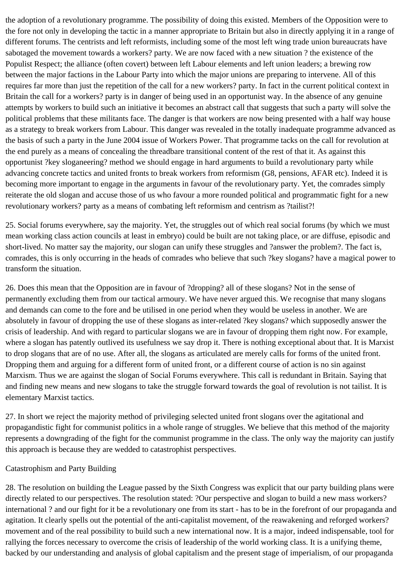the adoption of a revolutionary programme. The possibility of doing this existed. Members of the Opposition were to the fore not only in developing the tactic in a manner appropriate to Britain but also in directly applying it in a range of different forums. The centrists and left reformists, including some of the most left wing trade union bureaucrats have sabotaged the movement towards a workers? party. We are now faced with a new situation ? the existence of the Populist Respect; the alliance (often covert) between left Labour elements and left union leaders; a brewing row between the major factions in the Labour Party into which the major unions are preparing to intervene. All of this requires far more than just the repetition of the call for a new workers? party. In fact in the current political context in Britain the call for a workers? party is in danger of being used in an opportunist way. In the absence of any genuine attempts by workers to build such an initiative it becomes an abstract call that suggests that such a party will solve the political problems that these militants face. The danger is that workers are now being presented with a half way house as a strategy to break workers from Labour. This danger was revealed in the totally inadequate programme advanced as the basis of such a party in the June 2004 issue of Workers Power. That programme tacks on the call for revolution at the end purely as a means of concealing the threadbare transitional content of the rest of that it. As against this opportunist ?key sloganeering? method we should engage in hard arguments to build a revolutionary party while advancing concrete tactics and united fronts to break workers from reformism (G8, pensions, AFAR etc). Indeed it is becoming more important to engage in the arguments in favour of the revolutionary party. Yet, the comrades simply reiterate the old slogan and accuse those of us who favour a more rounded political and programmatic fight for a new revolutionary workers? party as a means of combating left reformism and centrism as ?tailist?!

25. Social forums everywhere, say the majority. Yet, the struggles out of which real social forums (by which we must mean working class action councils at least in embryo) could be built are not taking place, or are diffuse, episodic and short-lived. No matter say the majority, our slogan can unify these struggles and ?answer the problem?. The fact is, comrades, this is only occurring in the heads of comrades who believe that such ?key slogans? have a magical power to transform the situation.

26. Does this mean that the Opposition are in favour of ?dropping? all of these slogans? Not in the sense of permanently excluding them from our tactical armoury. We have never argued this. We recognise that many slogans and demands can come to the fore and be utilised in one period when they would be useless in another. We are absolutely in favour of dropping the use of these slogans as inter-related ?key slogans? which supposedly answer the crisis of leadership. And with regard to particular slogans we are in favour of dropping them right now. For example, where a slogan has patently outlived its usefulness we say drop it. There is nothing exceptional about that. It is Marxist to drop slogans that are of no use. After all, the slogans as articulated are merely calls for forms of the united front. Dropping them and arguing for a different form of united front, or a different course of action is no sin against Marxism. Thus we are against the slogan of Social Forums everywhere. This call is redundant in Britain. Saying that and finding new means and new slogans to take the struggle forward towards the goal of revolution is not tailist. It is elementary Marxist tactics.

27. In short we reject the majority method of privileging selected united front slogans over the agitational and propagandistic fight for communist politics in a whole range of struggles. We believe that this method of the majority represents a downgrading of the fight for the communist programme in the class. The only way the majority can justify this approach is because they are wedded to catastrophist perspectives.

#### Catastrophism and Party Building

28. The resolution on building the League passed by the Sixth Congress was explicit that our party building plans were directly related to our perspectives. The resolution stated: ?Our perspective and slogan to build a new mass workers? international ? and our fight for it be a revolutionary one from its start - has to be in the forefront of our propaganda and agitation. It clearly spells out the potential of the anti-capitalist movement, of the reawakening and reforged workers? movement and of the real possibility to build such a new international now. It is a major, indeed indispensable, tool for rallying the forces necessary to overcome the crisis of leadership of the world working class. It is a unifying theme, backed by our understanding and analysis of global capitalism and the present stage of imperialism, of our propaganda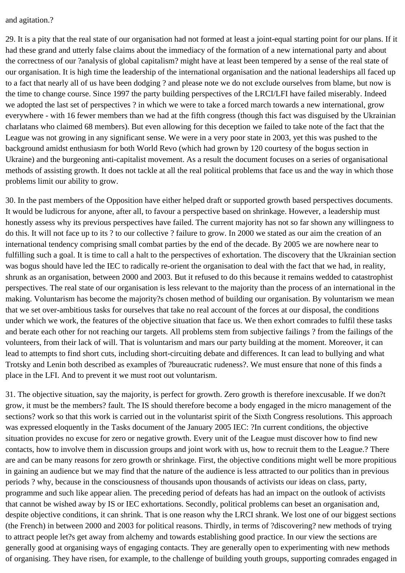#### and agitation.?

29. It is a pity that the real state of our organisation had not formed at least a joint-equal starting point for our plans. If it had these grand and utterly false claims about the immediacy of the formation of a new international party and about the correctness of our ?analysis of global capitalism? might have at least been tempered by a sense of the real state of our organisation. It is high time the leadership of the international organisation and the national leaderships all faced up to a fact that nearly all of us have been dodging ? and please note we do not exclude ourselves from blame, but now is the time to change course. Since 1997 the party building perspectives of the LRCI/LFI have failed miserably. Indeed we adopted the last set of perspectives ? in which we were to take a forced march towards a new international, grow everywhere - with 16 fewer members than we had at the fifth congress (though this fact was disguised by the Ukrainian charlatans who claimed 68 members). But even allowing for this deception we failed to take note of the fact that the League was not growing in any significant sense. We were in a very poor state in 2003, yet this was pushed to the background amidst enthusiasm for both World Revo (which had grown by 120 courtesy of the bogus section in Ukraine) and the burgeoning anti-capitalist movement. As a result the document focuses on a series of organisational methods of assisting growth. It does not tackle at all the real political problems that face us and the way in which those problems limit our ability to grow.

30. In the past members of the Opposition have either helped draft or supported growth based perspectives documents. It would be ludicrous for anyone, after all, to favour a perspective based on shrinkage. However, a leadership must honestly assess why its previous perspectives have failed. The current majority has not so far shown any willingness to do this. It will not face up to its ? to our collective ? failure to grow. In 2000 we stated as our aim the creation of an international tendency comprising small combat parties by the end of the decade. By 2005 we are nowhere near to fulfilling such a goal. It is time to call a halt to the perspectives of exhortation. The discovery that the Ukrainian section was bogus should have led the IEC to radically re-orient the organisation to deal with the fact that we had, in reality, shrunk as an organisation, between 2000 and 2003. But it refused to do this because it remains wedded to catastrophist perspectives. The real state of our organisation is less relevant to the majority than the process of an international in the making. Voluntarism has become the majority?s chosen method of building our organisation. By voluntarism we mean that we set over-ambitious tasks for ourselves that take no real account of the forces at our disposal, the conditions under which we work, the features of the objective situation that face us. We then exhort comrades to fulfil these tasks and berate each other for not reaching our targets. All problems stem from subjective failings ? from the failings of the volunteers, from their lack of will. That is voluntarism and mars our party building at the moment. Moreover, it can lead to attempts to find short cuts, including short-circuiting debate and differences. It can lead to bullying and what Trotsky and Lenin both described as examples of ?bureaucratic rudeness?. We must ensure that none of this finds a place in the LFI. And to prevent it we must root out voluntarism.

31. The objective situation, say the majority, is perfect for growth. Zero growth is therefore inexcusable. If we don?t grow, it must be the members? fault. The IS should therefore become a body engaged in the micro management of the sections? work so that this work is carried out in the voluntarist spirit of the Sixth Congress resolutions. This approach was expressed eloquently in the Tasks document of the January 2005 IEC: ?In current conditions, the objective situation provides no excuse for zero or negative growth. Every unit of the League must discover how to find new contacts, how to involve them in discussion groups and joint work with us, how to recruit them to the League.? There are and can be many reasons for zero growth or shrinkage. First, the objective conditions might well be more propitious in gaining an audience but we may find that the nature of the audience is less attracted to our politics than in previous periods ? why, because in the consciousness of thousands upon thousands of activists our ideas on class, party, programme and such like appear alien. The preceding period of defeats has had an impact on the outlook of activists that cannot be wished away by IS or IEC exhortations. Secondly, political problems can beset an organisation and, despite objective conditions, it can shrink. That is one reason why the LRCI shrank. We lost one of our biggest sections (the French) in between 2000 and 2003 for political reasons. Thirdly, in terms of ?discovering? new methods of trying to attract people let?s get away from alchemy and towards establishing good practice. In our view the sections are generally good at organising ways of engaging contacts. They are generally open to experimenting with new methods of organising. They have risen, for example, to the challenge of building youth groups, supporting comrades engaged in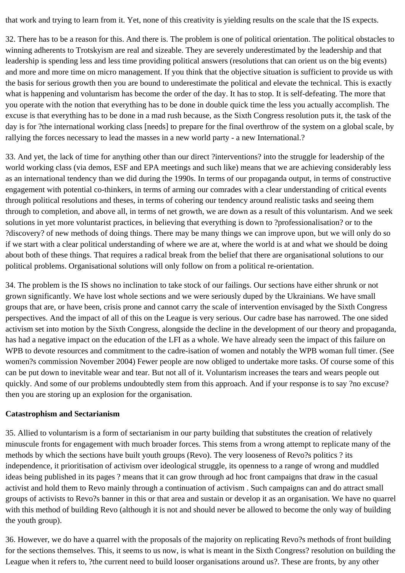that work and trying to learn from it. Yet, none of this creativity is yielding results on the scale that the IS expects.

32. There has to be a reason for this. And there is. The problem is one of political orientation. The political obstacles to winning adherents to Trotskyism are real and sizeable. They are severely underestimated by the leadership and that leadership is spending less and less time providing political answers (resolutions that can orient us on the big events) and more and more time on micro management. If you think that the objective situation is sufficient to provide us with the basis for serious growth then you are bound to underestimate the political and elevate the technical. This is exactly what is happening and voluntarism has become the order of the day. It has to stop. It is self-defeating. The more that you operate with the notion that everything has to be done in double quick time the less you actually accomplish. The excuse is that everything has to be done in a mad rush because, as the Sixth Congress resolution puts it, the task of the day is for ?the international working class [needs] to prepare for the final overthrow of the system on a global scale, by rallying the forces necessary to lead the masses in a new world party - a new International.?

33. And yet, the lack of time for anything other than our direct ?interventions? into the struggle for leadership of the world working class (via demos, ESF and EPA meetings and such like) means that we are achieving considerably less as an international tendency than we did during the 1990s. In terms of our propaganda output, in terms of constructive engagement with potential co-thinkers, in terms of arming our comrades with a clear understanding of critical events through political resolutions and theses, in terms of cohering our tendency around realistic tasks and seeing them through to completion, and above all, in terms of net growth, we are down as a result of this voluntarism. And we seek solutions in yet more voluntarist practices, in believing that everything is down to ?professionalisation? or to the ?discovery? of new methods of doing things. There may be many things we can improve upon, but we will only do so if we start with a clear political understanding of where we are at, where the world is at and what we should be doing about both of these things. That requires a radical break from the belief that there are organisational solutions to our political problems. Organisational solutions will only follow on from a political re-orientation.

34. The problem is the IS shows no inclination to take stock of our failings. Our sections have either shrunk or not grown significantly. We have lost whole sections and we were seriously duped by the Ukrainians. We have small groups that are, or have been, crisis prone and cannot carry the scale of intervention envisaged by the Sixth Congress perspectives. And the impact of all of this on the League is very serious. Our cadre base has narrowed. The one sided activism set into motion by the Sixth Congress, alongside the decline in the development of our theory and propaganda, has had a negative impact on the education of the LFI as a whole. We have already seen the impact of this failure on WPB to devote resources and commitment to the cadre-isation of women and notably the WPB woman full timer. (See women?s commission November 2004) Fewer people are now obliged to undertake more tasks. Of course some of this can be put down to inevitable wear and tear. But not all of it. Voluntarism increases the tears and wears people out quickly. And some of our problems undoubtedly stem from this approach. And if your response is to say ?no excuse? then you are storing up an explosion for the organisation.

## **Catastrophism and Sectarianism**

35. Allied to voluntarism is a form of sectarianism in our party building that substitutes the creation of relatively minuscule fronts for engagement with much broader forces. This stems from a wrong attempt to replicate many of the methods by which the sections have built youth groups (Revo). The very looseness of Revo?s politics ? its independence, it prioritisation of activism over ideological struggle, its openness to a range of wrong and muddled ideas being published in its pages ? means that it can grow through ad hoc front campaigns that draw in the casual activist and hold them to Revo mainly through a continuation of activism . Such campaigns can and do attract small groups of activists to Revo?s banner in this or that area and sustain or develop it as an organisation. We have no quarrel with this method of building Revo (although it is not and should never be allowed to become the only way of building the youth group).

36. However, we do have a quarrel with the proposals of the majority on replicating Revo?s methods of front building for the sections themselves. This, it seems to us now, is what is meant in the Sixth Congress? resolution on building the League when it refers to, ?the current need to build looser organisations around us?. These are fronts, by any other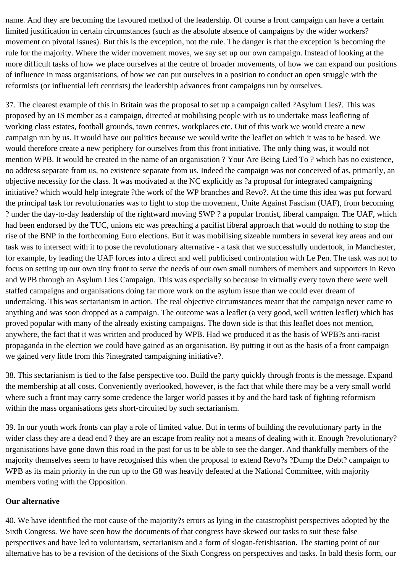name. And they are becoming the favoured method of the leadership. Of course a front campaign can have a certain limited justification in certain circumstances (such as the absolute absence of campaigns by the wider workers? movement on pivotal issues). But this is the exception, not the rule. The danger is that the exception is becoming the rule for the majority. Where the wider movement moves, we say set up our own campaign. Instead of looking at the more difficult tasks of how we place ourselves at the centre of broader movements, of how we can expand our positions of influence in mass organisations, of how we can put ourselves in a position to conduct an open struggle with the reformists (or influential left centrists) the leadership advances front campaigns run by ourselves.

37. The clearest example of this in Britain was the proposal to set up a campaign called ?Asylum Lies?. This was proposed by an IS member as a campaign, directed at mobilising people with us to undertake mass leafleting of working class estates, football grounds, town centres, workplaces etc. Out of this work we would create a new campaign run by us. It would have our politics because we would write the leaflet on which it was to be based. We would therefore create a new periphery for ourselves from this front initiative. The only thing was, it would not mention WPB. It would be created in the name of an organisation ? Your Are Being Lied To ? which has no existence, no address separate from us, no existence separate from us. Indeed the campaign was not conceived of as, primarily, an objective necessity for the class. It was motivated at the NC explicitly as ?a proposal for integrated campaigning initiative? which would help integrate ?the work of the WP branches and Revo?. At the time this idea was put forward the principal task for revolutionaries was to fight to stop the movement, Unite Against Fascism (UAF), from becoming ? under the day-to-day leadership of the rightward moving SWP ? a popular frontist, liberal campaign. The UAF, which had been endorsed by the TUC, unions etc was preaching a pacifist liberal approach that would do nothing to stop the rise of the BNP in the forthcoming Euro elections. But it was mobilising sizeable numbers in several key areas and our task was to intersect with it to pose the revolutionary alternative - a task that we successfully undertook, in Manchester, for example, by leading the UAF forces into a direct and well publicised confrontation with Le Pen. The task was not to focus on setting up our own tiny front to serve the needs of our own small numbers of members and supporters in Revo and WPB through an Asylum Lies Campaign. This was especially so because in virtually every town there were well staffed campaigns and organisations doing far more work on the asylum issue than we could ever dream of undertaking. This was sectarianism in action. The real objective circumstances meant that the campaign never came to anything and was soon dropped as a campaign. The outcome was a leaflet (a very good, well written leaflet) which has proved popular with many of the already existing campaigns. The down side is that this leaflet does not mention, anywhere, the fact that it was written and produced by WPB. Had we produced it as the basis of WPB?s anti-racist propaganda in the election we could have gained as an organisation. By putting it out as the basis of a front campaign we gained very little from this ?integrated campaigning initiative?.

38. This sectarianism is tied to the false perspective too. Build the party quickly through fronts is the message. Expand the membership at all costs. Conveniently overlooked, however, is the fact that while there may be a very small world where such a front may carry some credence the larger world passes it by and the hard task of fighting reformism within the mass organisations gets short-circuited by such sectarianism.

39. In our youth work fronts can play a role of limited value. But in terms of building the revolutionary party in the wider class they are a dead end ? they are an escape from reality not a means of dealing with it. Enough ?revolutionary? organisations have gone down this road in the past for us to be able to see the danger. And thankfully members of the majority themselves seem to have recognised this when the proposal to extend Revo?s ?Dump the Debt? campaign to WPB as its main priority in the run up to the G8 was heavily defeated at the National Committee, with majority members voting with the Opposition.

## **Our alternative**

40. We have identified the root cause of the majority?s errors as lying in the catastrophist perspectives adopted by the Sixth Congress. We have seen how the documents of that congress have skewed our tasks to suit these false perspectives and have led to voluntarism, sectarianism and a form of slogan-fetishisation. The starting point of our alternative has to be a revision of the decisions of the Sixth Congress on perspectives and tasks. In bald thesis form, our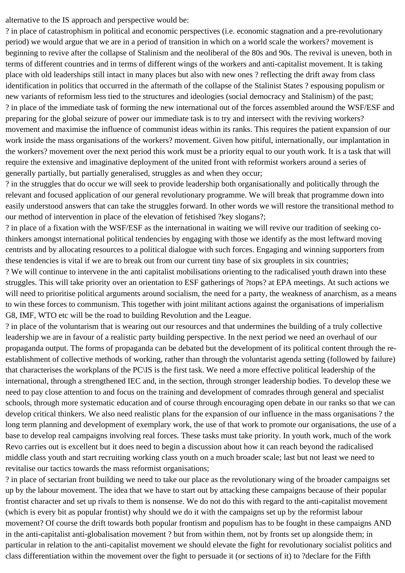alternative to the IS approach and perspective would be:

? in place of catastrophism in political and economic perspectives (i.e. economic stagnation and a pre-revolutionary period) we would argue that we are in a period of transition in which on a world scale the workers? movement is beginning to revive after the collapse of Stalinism and the neoliberal of the 80s and 90s. The revival is uneven, both in terms of different countries and in terms of different wings of the workers and anti-capitalist movement. It is taking place with old leaderships still intact in many places but also with new ones ? reflecting the drift away from class identification in politics that occurred in the aftermath of the collapse of the Stalinist States ? espousing populism or new variants of reformism less tied to the structures and ideologies (social democracy and Stalinism) of the past; ? in place of the immediate task of forming the new international out of the forces assembled around the WSF/ESF and preparing for the global seizure of power our immediate task is to try and intersect with the reviving workers? movement and maximise the influence of communist ideas within its ranks. This requires the patient expansion of our work inside the mass organisations of the workers? movement. Given how pitiful, internationally, our implantation in the workers? movement over the next period this work must be a priority equal to our youth work. It is a task that will require the extensive and imaginative deployment of the united front with reformist workers around a series of generally partially, but partially generalised, struggles as and when they occur;

? in the struggles that do occur we will seek to provide leadership both organisationally and politically through the relevant and focused application of our general revolutionary programme. We will break that programme down into easily understood answers that can take the struggles forward. In other words we will restore the transitional method to our method of intervention in place of the elevation of fetishised ?key slogans?;

? in place of a fixation with the WSF/ESF as the international in waiting we will revive our tradition of seeking cothinkers amongst international political tendencies by engaging with those we identify as the most leftward moving centrists and by allocating resources to a political dialogue with such forces. Engaging and winning supporters from these tendencies is vital if we are to break out from our current tiny base of six grouplets in six countries;

? We will continue to intervene in the anti capitalist mobilisations orienting to the radicalised youth drawn into these struggles. This will take priority over an orientation to ESF gatherings of ?tops? at EPA meetings. At such actions we will need to prioritise political arguments around socialism, the need for a party, the weakness of anarchism, as a means to win these forces to communism. This together with joint militant actions against the organisations of imperialism G8, IMF, WTO etc will be the road to building Revolution and the League.

? in place of the voluntarism that is wearing out our resources and that undermines the building of a truly collective leadership we are in favour of a realistic party building perspective. In the next period we need an overhaul of our propaganda output. The forms of propaganda can be debated but the development of its political content through the reestablishment of collective methods of working, rather than through the voluntarist agenda setting (followed by failure) that characterises the workplans of the PC\IS is the first task. We need a more effective political leadership of the international, through a strengthened IEC and, in the section, through stronger leadership bodies. To develop these we need to pay close attention to and focus on the training and development of comrades through general and specialist schools, through more systematic education and of course through encouraging open debate in our ranks so that we can develop critical thinkers. We also need realistic plans for the expansion of our influence in the mass organisations ? the long term planning and development of exemplary work, the use of that work to promote our organisations, the use of a base to develop real campaigns involving real forces. These tasks must take priority. In youth work, much of the work Revo carries out is excellent but it does need to begin a discussion about how it can reach beyond the radicalised middle class youth and start recruiting working class youth on a much broader scale; last but not least we need to revitalise our tactics towards the mass reformist organisations;

? in place of sectarian front building we need to take our place as the revolutionary wing of the broader campaigns set up by the labour movement. The idea that we have to start out by attacking these campaigns because of their popular frontist character and set up rivals to them is nonsense. We do not do this with regard to the anti-capitalist movement (which is every bit as popular frontist) why should we do it with the campaigns set up by the reformist labour movement? Of course the drift towards both popular frontism and populism has to be fought in these campaigns AND in the anti-capitalist anti-globalisation movement ? but from within them, not by fronts set up alongside them; in particular in relation to the anti-capitalist movement we should elevate the fight for revolutionary socialist politics and class differentiation within the movement over the fight to persuade it (or sections of it) to ?declare for the Fifth